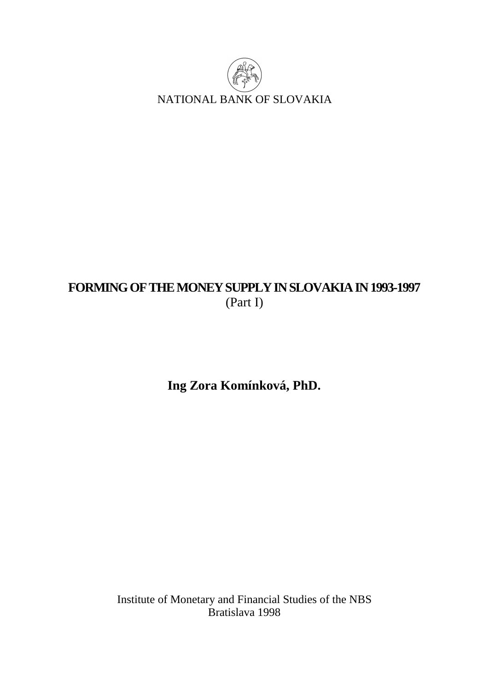

# **FORMING OF THE MONEY SUPPLY IN SLOVAKIA IN 1993-1997**  (Part I)

**Ing Zora Komínková, PhD.** 

Institute of Monetary and Financial Studies of the NBS Bratislava 1998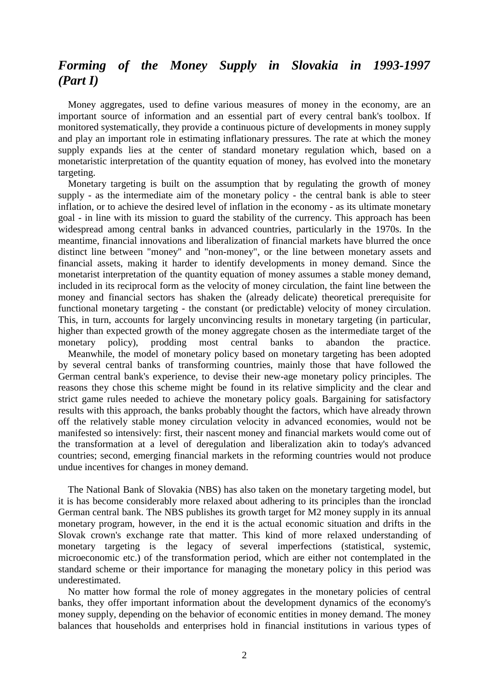# *Forming of the Money Supply in Slovakia in 1993-1997 (Part I)*

 Money aggregates, used to define various measures of money in the economy, are an important source of information and an essential part of every central bank's toolbox. If monitored systematically, they provide a continuous picture of developments in money supply and play an important role in estimating inflationary pressures. The rate at which the money supply expands lies at the center of standard monetary regulation which, based on a monetaristic interpretation of the quantity equation of money, has evolved into the monetary targeting.

 Monetary targeting is built on the assumption that by regulating the growth of money supply - as the intermediate aim of the monetary policy - the central bank is able to steer inflation, or to achieve the desired level of inflation in the economy - as its ultimate monetary goal - in line with its mission to guard the stability of the currency. This approach has been widespread among central banks in advanced countries, particularly in the 1970s. In the meantime, financial innovations and liberalization of financial markets have blurred the once distinct line between "money" and "non-money", or the line between monetary assets and financial assets, making it harder to identify developments in money demand. Since the monetarist interpretation of the quantity equation of money assumes a stable money demand, included in its reciprocal form as the velocity of money circulation, the faint line between the money and financial sectors has shaken the (already delicate) theoretical prerequisite for functional monetary targeting - the constant (or predictable) velocity of money circulation. This, in turn, accounts for largely unconvincing results in monetary targeting (in particular, higher than expected growth of the money aggregate chosen as the intermediate target of the monetary policy), prodding most central banks to abandon the practice.

 Meanwhile, the model of monetary policy based on monetary targeting has been adopted by several central banks of transforming countries, mainly those that have followed the German central bank's experience, to devise their new-age monetary policy principles. The reasons they chose this scheme might be found in its relative simplicity and the clear and strict game rules needed to achieve the monetary policy goals. Bargaining for satisfactory results with this approach, the banks probably thought the factors, which have already thrown off the relatively stable money circulation velocity in advanced economies, would not be manifested so intensively: first, their nascent money and financial markets would come out of the transformation at a level of deregulation and liberalization akin to today's advanced countries; second, emerging financial markets in the reforming countries would not produce undue incentives for changes in money demand.

 The National Bank of Slovakia (NBS) has also taken on the monetary targeting model, but it is has become considerably more relaxed about adhering to its principles than the ironclad German central bank. The NBS publishes its growth target for M2 money supply in its annual monetary program, however, in the end it is the actual economic situation and drifts in the Slovak crown's exchange rate that matter. This kind of more relaxed understanding of monetary targeting is the legacy of several imperfections (statistical, systemic, microeconomic etc.) of the transformation period, which are either not contemplated in the standard scheme or their importance for managing the monetary policy in this period was underestimated.

 No matter how formal the role of money aggregates in the monetary policies of central banks, they offer important information about the development dynamics of the economy's money supply, depending on the behavior of economic entities in money demand. The money balances that households and enterprises hold in financial institutions in various types of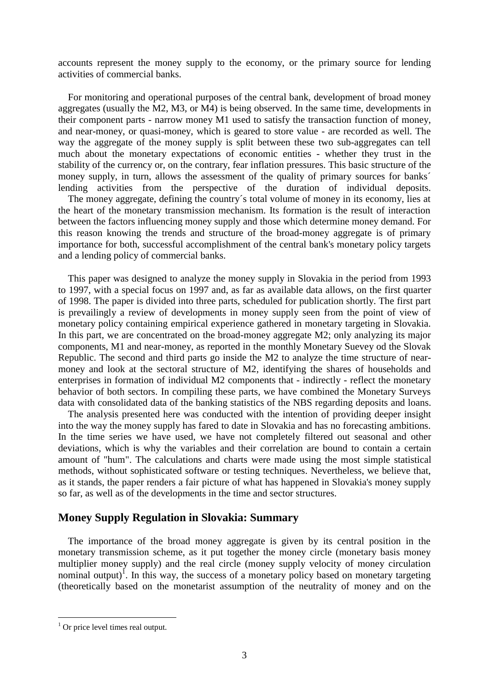accounts represent the money supply to the economy, or the primary source for lending activities of commercial banks.

 For monitoring and operational purposes of the central bank, development of broad money aggregates (usually the M2, M3, or M4) is being observed. In the same time, developments in their component parts - narrow money M1 used to satisfy the transaction function of money, and near-money, or quasi-money, which is geared to store value - are recorded as well. The way the aggregate of the money supply is split between these two sub-aggregates can tell much about the monetary expectations of economic entities - whether they trust in the stability of the currency or, on the contrary, fear inflation pressures. This basic structure of the money supply, in turn, allows the assessment of the quality of primary sources for banks´ lending activities from the perspective of the duration of individual deposits. The money aggregate, defining the country´s total volume of money in its economy, lies at the heart of the monetary transmission mechanism. Its formation is the result of interaction between the factors influencing money supply and those which determine money demand. For this reason knowing the trends and structure of the broad-money aggregate is of primary importance for both, successful accomplishment of the central bank's monetary policy targets and a lending policy of commercial banks.

 This paper was designed to analyze the money supply in Slovakia in the period from 1993 to 1997, with a special focus on 1997 and, as far as available data allows, on the first quarter of 1998. The paper is divided into three parts, scheduled for publication shortly. The first part is prevailingly a review of developments in money supply seen from the point of view of monetary policy containing empirical experience gathered in monetary targeting in Slovakia. In this part, we are concentrated on the broad-money aggregate M2; only analyzing its major components, M1 and near-money, as reported in the monthly Monetary Suevey od the Slovak Republic. The second and third parts go inside the M2 to analyze the time structure of nearmoney and look at the sectoral structure of M2, identifying the shares of households and enterprises in formation of individual M2 components that - indirectly - reflect the monetary behavior of both sectors. In compiling these parts, we have combined the Monetary Surveys data with consolidated data of the banking statistics of the NBS regarding deposits and loans.

 The analysis presented here was conducted with the intention of providing deeper insight into the way the money supply has fared to date in Slovakia and has no forecasting ambitions. In the time series we have used, we have not completely filtered out seasonal and other deviations, which is why the variables and their correlation are bound to contain a certain amount of "hum". The calculations and charts were made using the most simple statistical methods, without sophisticated software or testing techniques. Nevertheless, we believe that, as it stands, the paper renders a fair picture of what has happened in Slovakia's money supply so far, as well as of the developments in the time and sector structures.

### **Money Supply Regulation in Slovakia: Summary**

 The importance of the broad money aggregate is given by its central position in the monetary transmission scheme, as it put together the money circle (monetary basis money multiplier money supply) and the real circle (money supply velocity of money circulation nominal output)<sup>1</sup>. In this way, the success of a monetary policy based on monetary targeting (theoretically based on the monetarist assumption of the neutrality of money and on the

<sup>&</sup>lt;sup>1</sup> Or price level times real output.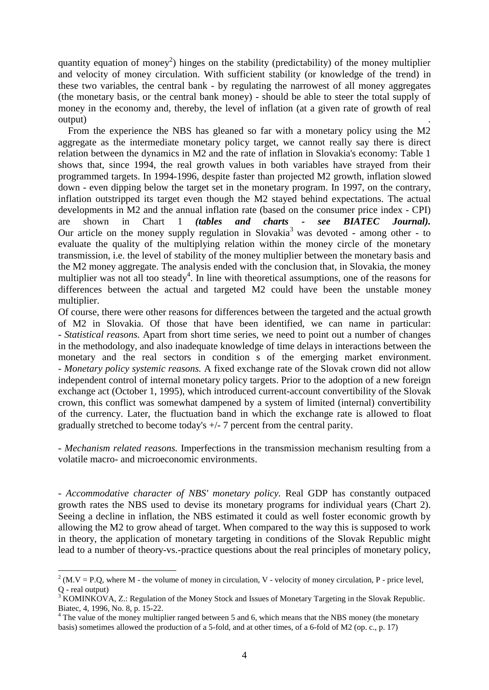quantity equation of money<sup>2</sup>) hinges on the stability (predictability) of the money multiplier and velocity of money circulation. With sufficient stability (or knowledge of the trend) in these two variables, the central bank - by regulating the narrowest of all money aggregates (the monetary basis, or the central bank money) - should be able to steer the total supply of money in the economy and, thereby, the level of inflation (at a given rate of growth of real output) .

 From the experience the NBS has gleaned so far with a monetary policy using the M2 aggregate as the intermediate monetary policy target, we cannot really say there is direct relation between the dynamics in M2 and the rate of inflation in Slovakia's economy: Table 1 shows that, since 1994, the real growth values in both variables have strayed from their programmed targets. In 1994-1996, despite faster than projected M2 growth, inflation slowed down - even dipping below the target set in the monetary program. In 1997, on the contrary, inflation outstripped its target even though the M2 stayed behind expectations. The actual developments in M2 and the annual inflation rate (based on the consumer price index - CPI) are shown in Chart 1 *(tables and charts - see BIATEC Journal).*  Our article on the money supply regulation in Slovakia<sup>3</sup> was devoted - among other - to evaluate the quality of the multiplying relation within the money circle of the monetary transmission, i.e. the level of stability of the money multiplier between the monetary basis and the M2 money aggregate. The analysis ended with the conclusion that, in Slovakia, the money multiplier was not all too steady<sup>4</sup>. In line with theoretical assumptions, one of the reasons for differences between the actual and targeted M2 could have been the unstable money multiplier.

Of course, there were other reasons for differences between the targeted and the actual growth of M2 in Slovakia. Of those that have been identified, we can name in particular: - *Statistical reasons.* Apart from short time series, we need to point out a number of changes in the methodology, and also inadequate knowledge of time delays in interactions between the monetary and the real sectors in condition s of the emerging market environment. - *Monetary policy systemic reasons.* A fixed exchange rate of the Slovak crown did not allow independent control of internal monetary policy targets. Prior to the adoption of a new foreign exchange act (October 1, 1995), which introduced current-account convertibility of the Slovak crown, this conflict was somewhat dampened by a system of limited (internal) convertibility of the currency. Later, the fluctuation band in which the exchange rate is allowed to float gradually stretched to become today's +/- 7 percent from the central parity.

- *Mechanism related reasons.* Imperfections in the transmission mechanism resulting from a volatile macro- and microeconomic environments.

- *Accommodative character of NBS' monetary policy.* Real GDP has constantly outpaced growth rates the NBS used to devise its monetary programs for individual years (Chart 2). Seeing a decline in inflation, the NBS estimated it could as well foster economic growth by allowing the M2 to grow ahead of target. When compared to the way this is supposed to work in theory, the application of monetary targeting in conditions of the Slovak Republic might lead to a number of theory-vs.-practice questions about the real principles of monetary policy,

<sup>&</sup>lt;sup>2</sup> (M.V = P.Q, where M - the volume of money in circulation, V - velocity of money circulation, P - price level, Q - real output)

<sup>&</sup>lt;sup>3</sup> KOMINKOVA, Z.: Regulation of the Money Stock and Issues of Monetary Targeting in the Slovak Republic. Biatec, 4, 1996, No. 8, p. 15-22.

<sup>&</sup>lt;sup>4</sup> The value of the money multiplier ranged between 5 and 6, which means that the NBS money (the monetary basis) sometimes allowed the production of a 5-fold, and at other times, of a 6-fold of M2 (op. c., p. 17)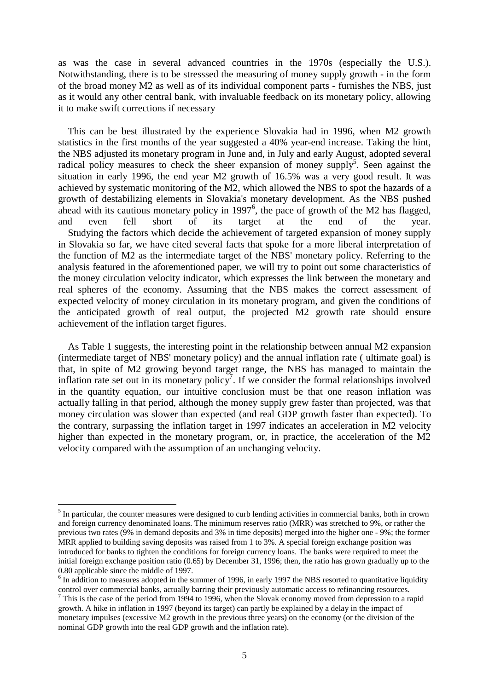as was the case in several advanced countries in the 1970s (especially the U.S.). Notwithstanding, there is to be stresssed the measuring of money supply growth - in the form of the broad money M2 as well as of its individual component parts - furnishes the NBS, just as it would any other central bank, with invaluable feedback on its monetary policy, allowing it to make swift corrections if necessary

 This can be best illustrated by the experience Slovakia had in 1996, when M2 growth statistics in the first months of the year suggested a 40% year-end increase. Taking the hint, the NBS adjusted its monetary program in June and, in July and early August, adopted several radical policy measures to check the sheer expansion of money supply<sup>5</sup>. Seen against the situation in early 1996, the end year M2 growth of 16.5% was a very good result. It was achieved by systematic monitoring of the M2, which allowed the NBS to spot the hazards of a growth of destabilizing elements in Slovakia's monetary development. As the NBS pushed ahead with its cautious monetary policy in  $1997<sup>6</sup>$ , the pace of growth of the M2 has flagged, and even fell short of its target at the end of the year. Studying the factors which decide the achievement of targeted expansion of money supply in Slovakia so far, we have cited several facts that spoke for a more liberal interpretation of the function of M2 as the intermediate target of the NBS' monetary policy. Referring to the analysis featured in the aforementioned paper, we will try to point out some characteristics of the money circulation velocity indicator, which expresses the link between the monetary and real spheres of the economy. Assuming that the NBS makes the correct assessment of expected velocity of money circulation in its monetary program, and given the conditions of the anticipated growth of real output, the projected M2 growth rate should ensure achievement of the inflation target figures.

 As Table 1 suggests, the interesting point in the relationship between annual M2 expansion (intermediate target of NBS' monetary policy) and the annual inflation rate ( ultimate goal) is that, in spite of M2 growing beyond target range, the NBS has managed to maintain the inflation rate set out in its monetary policy<sup>7</sup>. If we consider the formal relationships involved in the quantity equation, our intuitive conclusion must be that one reason inflation was actually falling in that period, although the money supply grew faster than projected, was that money circulation was slower than expected (and real GDP growth faster than expected). To the contrary, surpassing the inflation target in 1997 indicates an acceleration in M2 velocity higher than expected in the monetary program, or, in practice, the acceleration of the M2 velocity compared with the assumption of an unchanging velocity.

<sup>&</sup>lt;sup>5</sup> In particular, the counter measures were designed to curb lending activities in commercial banks, both in crown and foreign currency denominated loans. The minimum reserves ratio (MRR) was stretched to 9%, or rather the previous two rates (9% in demand deposits and 3% in time deposits) merged into the higher one - 9%; the former MRR applied to building saving deposits was raised from 1 to 3%. A special foreign exchange position was introduced for banks to tighten the conditions for foreign currency loans. The banks were required to meet the initial foreign exchange position ratio (0.65) by December 31, 1996; then, the ratio has grown gradually up to the 0.80 applicable since the middle of 1997.

<sup>&</sup>lt;sup>6</sup> In addition to measures adopted in the summer of 1996, in early 1997 the NBS resorted to quantitative liquidity control over commercial banks, actually barring their previously automatic access to refinancing resources.

 $7$  This is the case of the period from 1994 to 1996, when the Slovak economy moved from depression to a rapid growth. A hike in inflation in 1997 (beyond its target) can partly be explained by a delay in the impact of monetary impulses (excessive M2 growth in the previous three years) on the economy (or the division of the nominal GDP growth into the real GDP growth and the inflation rate).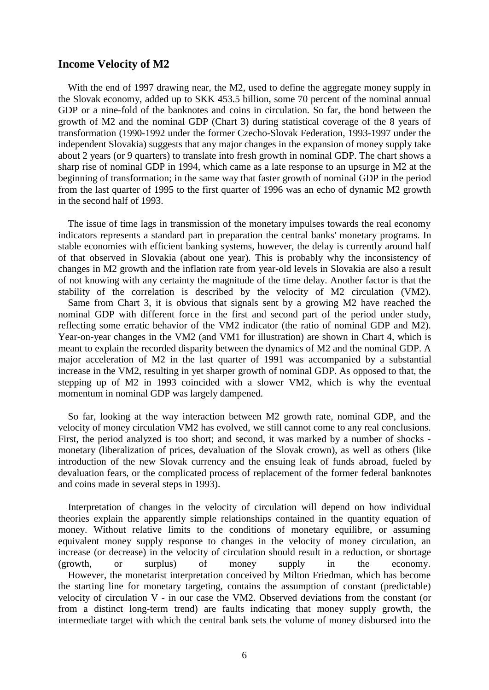#### **Income Velocity of M2**

 With the end of 1997 drawing near, the M2, used to define the aggregate money supply in the Slovak economy, added up to SKK 453.5 billion, some 70 percent of the nominal annual GDP or a nine-fold of the banknotes and coins in circulation. So far, the bond between the growth of M2 and the nominal GDP (Chart 3) during statistical coverage of the 8 years of transformation (1990-1992 under the former Czecho-Slovak Federation, 1993-1997 under the independent Slovakia) suggests that any major changes in the expansion of money supply take about 2 years (or 9 quarters) to translate into fresh growth in nominal GDP. The chart shows a sharp rise of nominal GDP in 1994, which came as a late response to an upsurge in M2 at the beginning of transformation; in the same way that faster growth of nominal GDP in the period from the last quarter of 1995 to the first quarter of 1996 was an echo of dynamic M2 growth in the second half of 1993.

 The issue of time lags in transmission of the monetary impulses towards the real economy indicators represents a standard part in preparation the central banks' monetary programs. In stable economies with efficient banking systems, however, the delay is currently around half of that observed in Slovakia (about one year). This is probably why the inconsistency of changes in M2 growth and the inflation rate from year-old levels in Slovakia are also a result of not knowing with any certainty the magnitude of the time delay. Another factor is that the stability of the correlation is described by the velocity of M2 circulation (VM2). Same from Chart 3, it is obvious that signals sent by a growing M2 have reached the nominal GDP with different force in the first and second part of the period under study, reflecting some erratic behavior of the VM2 indicator (the ratio of nominal GDP and M2). Year-on-year changes in the VM2 (and VM1 for illustration) are shown in Chart 4, which is meant to explain the recorded disparity between the dynamics of M2 and the nominal GDP. A major acceleration of M2 in the last quarter of 1991 was accompanied by a substantial increase in the VM2, resulting in yet sharper growth of nominal GDP. As opposed to that, the stepping up of M2 in 1993 coincided with a slower VM2, which is why the eventual momentum in nominal GDP was largely dampened.

 So far, looking at the way interaction between M2 growth rate, nominal GDP, and the velocity of money circulation VM2 has evolved, we still cannot come to any real conclusions. First, the period analyzed is too short; and second, it was marked by a number of shocks monetary (liberalization of prices, devaluation of the Slovak crown), as well as others (like introduction of the new Slovak currency and the ensuing leak of funds abroad, fueled by devaluation fears, or the complicated process of replacement of the former federal banknotes and coins made in several steps in 1993).

 Interpretation of changes in the velocity of circulation will depend on how individual theories explain the apparently simple relationships contained in the quantity equation of money. Without relative limits to the conditions of monetary equilibre, or assuming equivalent money supply response to changes in the velocity of money circulation, an increase (or decrease) in the velocity of circulation should result in a reduction, or shortage (growth, or surplus) of money supply in the economy. However, the monetarist interpretation conceived by Milton Friedman, which has become the starting line for monetary targeting, contains the assumption of constant (predictable) velocity of circulation V - in our case the VM2. Observed deviations from the constant (or from a distinct long-term trend) are faults indicating that money supply growth, the intermediate target with which the central bank sets the volume of money disbursed into the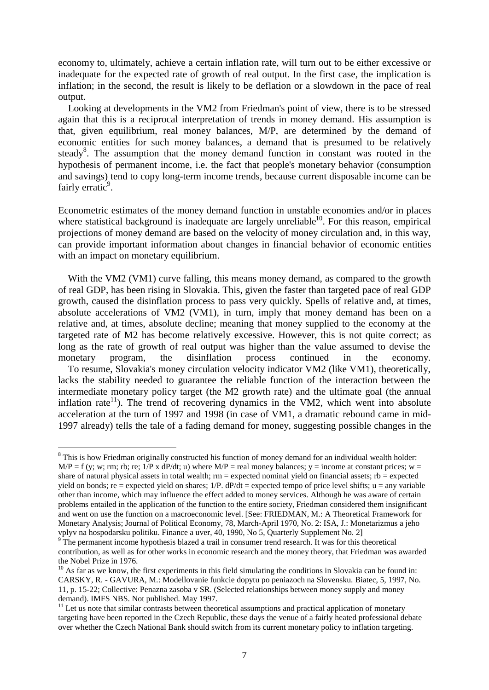economy to, ultimately, achieve a certain inflation rate, will turn out to be either excessive or inadequate for the expected rate of growth of real output. In the first case, the implication is inflation; in the second, the result is likely to be deflation or a slowdown in the pace of real output.

 Looking at developments in the VM2 from Friedman's point of view, there is to be stressed again that this is a reciprocal interpretation of trends in money demand. His assumption is that, given equilibrium, real money balances, M/P, are determined by the demand of economic entities for such money balances, a demand that is presumed to be relatively steady<sup>8</sup>. The assumption that the money demand function in constant was rooted in the hypothesis of permanent income, i.e. the fact that people's monetary behavior (consumption and savings) tend to copy long-term income trends, because current disposable income can be fairly erratic<sup>9</sup>.

Econometric estimates of the money demand function in unstable economies and/or in places where statistical background is inadequate are largely unreliable $10$ . For this reason, empirical projections of money demand are based on the velocity of money circulation and, in this way, can provide important information about changes in financial behavior of economic entities with an impact on monetary equilibrium.

With the VM2 (VM1) curve falling, this means money demand, as compared to the growth of real GDP, has been rising in Slovakia. This, given the faster than targeted pace of real GDP growth, caused the disinflation process to pass very quickly. Spells of relative and, at times, absolute accelerations of VM2 (VM1), in turn, imply that money demand has been on a relative and, at times, absolute decline; meaning that money supplied to the economy at the targeted rate of M2 has become relatively excessive. However, this is not quite correct; as long as the rate of growth of real output was higher than the value assumed to devise the monetary program, the disinflation process continued in the economy. To resume, Slovakia's money circulation velocity indicator VM2 (like VM1), theoretically, lacks the stability needed to guarantee the reliable function of the interaction between the intermediate monetary policy target (the M2 growth rate) and the ultimate goal (the annual inflation rate<sup>11</sup>). The trend of recovering dynamics in the VM2, which went into absolute acceleration at the turn of 1997 and 1998 (in case of VM1, a dramatic rebound came in mid-1997 already) tells the tale of a fading demand for money, suggesting possible changes in the

<sup>&</sup>lt;sup>8</sup> This is how Friedman originally constructed his function of money demand for an individual wealth holder:  $M/P = f$  (y; w; rm; rb; re; 1/P x dP/dt; u) where  $M/P =$  real money balances; y = income at constant prices; w = share of natural physical assets in total wealth;  $rm = expected$  nominal yield on financial assets;  $rb = expected$ yield on bonds; re = expected yield on shares;  $1/P$ .  $dP/dt$  = expected tempo of price level shifts;  $u =$  any variable other than income, which may influence the effect added to money services. Although he was aware of certain problems entailed in the application of the function to the entire society, Friedman considered them insignificant and went on use the function on a macroeconomic level. [See: FRIEDMAN, M.: A Theoretical Framework for Monetary Analysis; Journal of Political Economy, 78, March-April 1970, No. 2: ISA, J.: Monetarizmus a jeho vplyv na hospodarsku politiku. Finance a uver, 40, 1990, No 5, Quarterly Supplement No. 2]

The permanent income hypothesis blazed a trail in consumer trend research. It was for this theoretical contribution, as well as for other works in economic research and the money theory, that Friedman was awarded the Nobel Prize in 1976.

 $10$  As far as we know, the first experiments in this field simulating the conditions in Slovakia can be found in: CARSKY, R. - GAVURA, M.: Modellovanie funkcie dopytu po peniazoch na Slovensku. Biatec, 5, 1997, No. 11, p. 15-22; Collective: Penazna zasoba v SR. (Selected relationships between money supply and money demand). IMFS NBS. Not published. May 1997.

 $11$  Let us note that similar contrasts between theoretical assumptions and practical application of monetary targeting have been reported in the Czech Republic, these days the venue of a fairly heated professional debate over whether the Czech National Bank should switch from its current monetary policy to inflation targeting.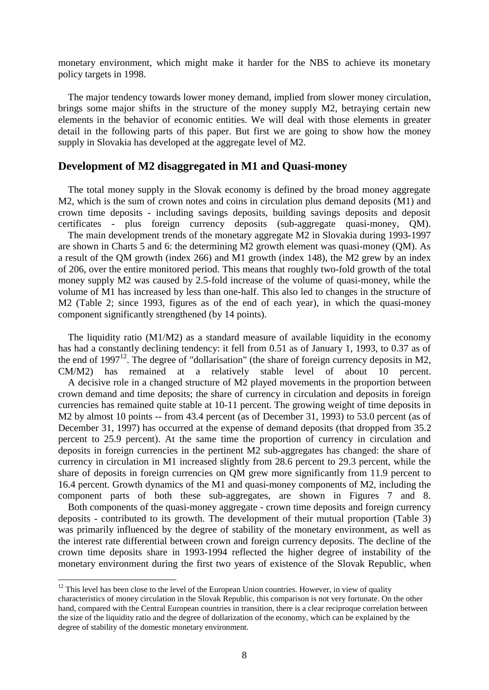monetary environment, which might make it harder for the NBS to achieve its monetary policy targets in 1998.

 The major tendency towards lower money demand, implied from slower money circulation, brings some major shifts in the structure of the money supply M2, betraying certain new elements in the behavior of economic entities. We will deal with those elements in greater detail in the following parts of this paper. But first we are going to show how the money supply in Slovakia has developed at the aggregate level of M2.

# **Development of M2 disaggregated in M1 and Quasi-money**

 The total money supply in the Slovak economy is defined by the broad money aggregate M2, which is the sum of crown notes and coins in circulation plus demand deposits (M1) and crown time deposits - including savings deposits, building savings deposits and deposit certificates - plus foreign currency deposits (sub-aggregate quasi-money, QM).

 The main development trends of the monetary aggregate M2 in Slovakia during 1993-1997 are shown in Charts 5 and 6: the determining M2 growth element was quasi-money (QM). As a result of the QM growth (index 266) and M1 growth (index 148), the M2 grew by an index of 206, over the entire monitored period. This means that roughly two-fold growth of the total money supply M2 was caused by 2.5-fold increase of the volume of quasi-money, while the volume of M1 has increased by less than one-half. This also led to changes in the structure of M2 (Table 2; since 1993, figures as of the end of each year), in which the quasi-money component significantly strengthened (by 14 points).

 The liquidity ratio (M1/M2) as a standard measure of available liquidity in the economy has had a constantly declining tendency: it fell from 0.51 as of January 1, 1993, to 0.37 as of the end of  $1997^{12}$ . The degree of "dollarisation" (the share of foreign currency deposits in M2, CM/M2) has remained at a relatively stable level of about 10 percent. A decisive role in a changed structure of M2 played movements in the proportion between crown demand and time deposits; the share of currency in circulation and deposits in foreign currencies has remained quite stable at 10-11 percent. The growing weight of time deposits in M2 by almost 10 points -- from 43.4 percent (as of December 31, 1993) to 53.0 percent (as of December 31, 1997) has occurred at the expense of demand deposits (that dropped from 35.2 percent to 25.9 percent). At the same time the proportion of currency in circulation and deposits in foreign currencies in the pertinent M2 sub-aggregates has changed: the share of currency in circulation in M1 increased slightly from 28.6 percent to 29.3 percent, while the share of deposits in foreign currencies on QM grew more significantly from 11.9 percent to 16.4 percent. Growth dynamics of the M1 and quasi-money components of M2, including the component parts of both these sub-aggregates, are shown in Figures 7 and 8.

 Both components of the quasi-money aggregate - crown time deposits and foreign currency deposits - contributed to its growth. The development of their mutual proportion (Table 3) was primarily influenced by the degree of stability of the monetary environment, as well as the interest rate differential between crown and foreign currency deposits. The decline of the crown time deposits share in 1993-1994 reflected the higher degree of instability of the monetary environment during the first two years of existence of the Slovak Republic, when

 $12$  This level has been close to the level of the European Union countries. However, in view of quality characteristics of money circulation in the Slovak Republic, this comparison is not very fortunate. On the other hand, compared with the Central European countries in transition, there is a clear reciproque correlation between the size of the liquidity ratio and the degree of dollarization of the economy, which can be explained by the degree of stability of the domestic monetary environment.